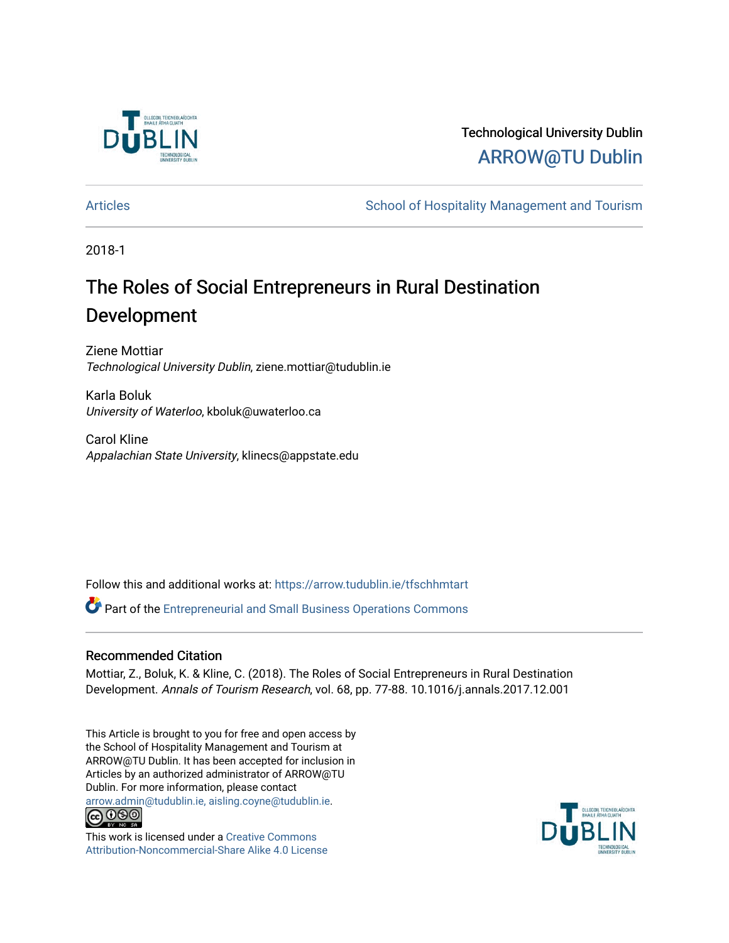

## Technological University Dublin [ARROW@TU Dublin](https://arrow.tudublin.ie/)

[Articles](https://arrow.tudublin.ie/tfschhmtart) **School of Hospitality Management and Tourism** School of Hospitality Management and Tourism

2018-1

# The Roles of Social Entrepreneurs in Rural Destination Development

Ziene Mottiar Technological University Dublin, ziene.mottiar@tudublin.ie

Karla Boluk University of Waterloo, kboluk@uwaterloo.ca

Carol Kline Appalachian State University, klinecs@appstate.edu

Follow this and additional works at: [https://arrow.tudublin.ie/tfschhmtart](https://arrow.tudublin.ie/tfschhmtart?utm_source=arrow.tudublin.ie%2Ftfschhmtart%2F79&utm_medium=PDF&utm_campaign=PDFCoverPages) 

Part of the [Entrepreneurial and Small Business Operations Commons](http://network.bepress.com/hgg/discipline/630?utm_source=arrow.tudublin.ie%2Ftfschhmtart%2F79&utm_medium=PDF&utm_campaign=PDFCoverPages) 

## Recommended Citation

Mottiar, Z., Boluk, K. & Kline, C. (2018). The Roles of Social Entrepreneurs in Rural Destination Development. Annals of Tourism Research, vol. 68, pp. 77-88. 10.1016/j.annals.2017.12.001

This Article is brought to you for free and open access by the School of Hospitality Management and Tourism at ARROW@TU Dublin. It has been accepted for inclusion in Articles by an authorized administrator of ARROW@TU Dublin. For more information, please contact [arrow.admin@tudublin.ie, aisling.coyne@tudublin.ie](mailto:arrow.admin@tudublin.ie,%20aisling.coyne@tudublin.ie).<br>
co 000



This work is licensed under a [Creative Commons](http://creativecommons.org/licenses/by-nc-sa/4.0/) [Attribution-Noncommercial-Share Alike 4.0 License](http://creativecommons.org/licenses/by-nc-sa/4.0/)

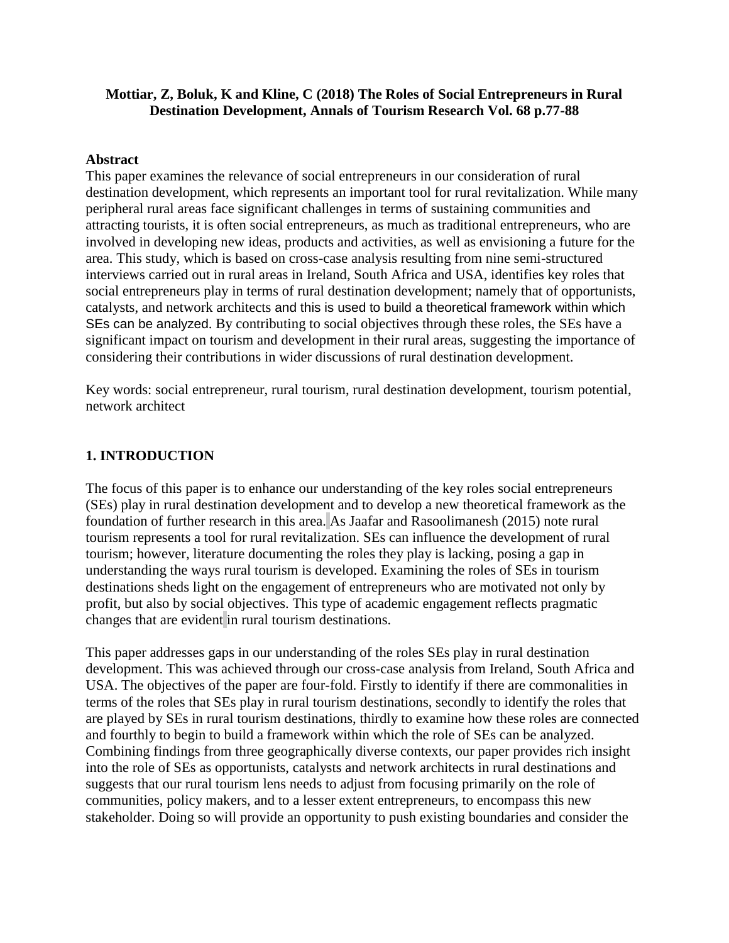## **Mottiar, Z, Boluk, K and Kline, C (2018) The Roles of Social Entrepreneurs in Rural Destination Development, Annals of Tourism Research Vol. 68 p.77-88**

## **Abstract**

This paper examines the relevance of social entrepreneurs in our consideration of rural destination development, which represents an important tool for rural revitalization. While many peripheral rural areas face significant challenges in terms of sustaining communities and attracting tourists, it is often social entrepreneurs, as much as traditional entrepreneurs, who are involved in developing new ideas, products and activities, as well as envisioning a future for the area. This study, which is based on cross-case analysis resulting from nine semi-structured interviews carried out in rural areas in Ireland, South Africa and USA, identifies key roles that social entrepreneurs play in terms of rural destination development; namely that of opportunists, catalysts, and network architects and this is used to build a theoretical framework within which SEs can be analyzed. By contributing to social objectives through these roles, the SEs have a significant impact on tourism and development in their rural areas, suggesting the importance of considering their contributions in wider discussions of rural destination development.

Key words: social entrepreneur, rural tourism, rural destination development, tourism potential, network architect

## **1. INTRODUCTION**

The focus of this paper is to enhance our understanding of the key roles social entrepreneurs (SEs) play in rural destination development and to develop a new theoretical framework as the foundation of further research in this area. As Jaafar and Rasoolimanesh (2015) note rural tourism represents a tool for rural revitalization. SEs can influence the development of rural tourism; however, literature documenting the roles they play is lacking, posing a gap in understanding the ways rural tourism is developed. Examining the roles of SEs in tourism destinations sheds light on the engagement of entrepreneurs who are motivated not only by profit, but also by social objectives. This type of academic engagement reflects pragmatic changes that are evident in rural tourism destinations.

This paper addresses gaps in our understanding of the roles SEs play in rural destination development. This was achieved through our cross-case analysis from Ireland, South Africa and USA. The objectives of the paper are four-fold. Firstly to identify if there are commonalities in terms of the roles that SEs play in rural tourism destinations, secondly to identify the roles that are played by SEs in rural tourism destinations, thirdly to examine how these roles are connected and fourthly to begin to build a framework within which the role of SEs can be analyzed. Combining findings from three geographically diverse contexts, our paper provides rich insight into the role of SEs as opportunists, catalysts and network architects in rural destinations and suggests that our rural tourism lens needs to adjust from focusing primarily on the role of communities, policy makers, and to a lesser extent entrepreneurs, to encompass this new stakeholder. Doing so will provide an opportunity to push existing boundaries and consider the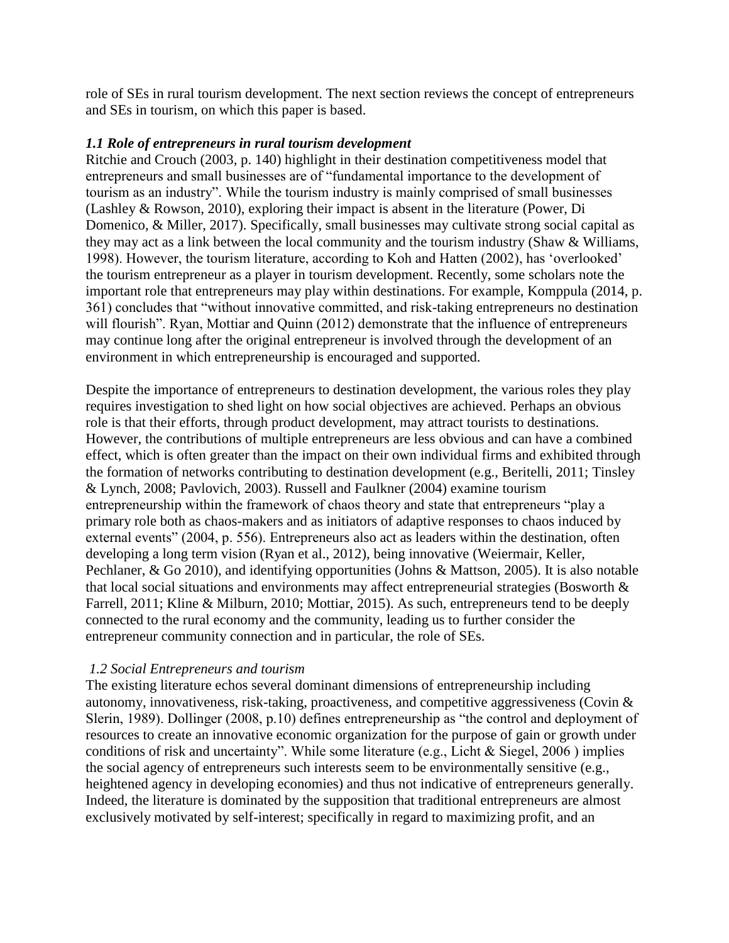role of SEs in rural tourism development. The next section reviews the concept of entrepreneurs and SEs in tourism, on which this paper is based.

## *1.1 Role of entrepreneurs in rural tourism development*

Ritchie and Crouch (2003, p. 140) highlight in their destination competitiveness model that entrepreneurs and small businesses are of "fundamental importance to the development of tourism as an industry". While the tourism industry is mainly comprised of small businesses (Lashley & Rowson, 2010), exploring their impact is absent in the literature (Power, Di Domenico, & Miller, 2017). Specifically, small businesses may cultivate strong social capital as they may act as a link between the local community and the tourism industry (Shaw & Williams, 1998). However, the tourism literature, according to Koh and Hatten (2002), has 'overlooked' the tourism entrepreneur as a player in tourism development. Recently, some scholars note the important role that entrepreneurs may play within destinations. For example, Komppula (2014, p. 361) concludes that "without innovative committed, and risk-taking entrepreneurs no destination will flourish". Ryan, Mottiar and Quinn (2012) demonstrate that the influence of entrepreneurs may continue long after the original entrepreneur is involved through the development of an environment in which entrepreneurship is encouraged and supported.

Despite the importance of entrepreneurs to destination development, the various roles they play requires investigation to shed light on how social objectives are achieved. Perhaps an obvious role is that their efforts, through product development, may attract tourists to destinations. However, the contributions of multiple entrepreneurs are less obvious and can have a combined effect, which is often greater than the impact on their own individual firms and exhibited through the formation of networks contributing to destination development (e.g., Beritelli, 2011; Tinsley & Lynch, 2008; Pavlovich, 2003). Russell and Faulkner (2004) examine tourism entrepreneurship within the framework of chaos theory and state that entrepreneurs "play a primary role both as chaos-makers and as initiators of adaptive responses to chaos induced by external events" (2004, p. 556). Entrepreneurs also act as leaders within the destination, often developing a long term vision (Ryan et al., 2012), being innovative (Weiermair, Keller, Pechlaner, & Go 2010), and identifying opportunities (Johns & Mattson, 2005). It is also notable that local social situations and environments may affect entrepreneurial strategies (Bosworth & Farrell, 2011; Kline & Milburn, 2010; Mottiar, 2015). As such, entrepreneurs tend to be deeply connected to the rural economy and the community, leading us to further consider the entrepreneur community connection and in particular, the role of SEs.

## *1.2 Social Entrepreneurs and tourism*

The existing literature echos several dominant dimensions of entrepreneurship including autonomy, innovativeness, risk-taking, proactiveness, and competitive aggressiveness (Covin & Slerin, 1989). Dollinger (2008, p.10) defines entrepreneurship as "the control and deployment of resources to create an innovative economic organization for the purpose of gain or growth under conditions of risk and uncertainty". While some literature (e.g., Licht & Siegel, 2006 ) implies the social agency of entrepreneurs such interests seem to be environmentally sensitive (e.g., heightened agency in developing economies) and thus not indicative of entrepreneurs generally. Indeed, the literature is dominated by the supposition that traditional entrepreneurs are almost exclusively motivated by self-interest; specifically in regard to maximizing profit, and an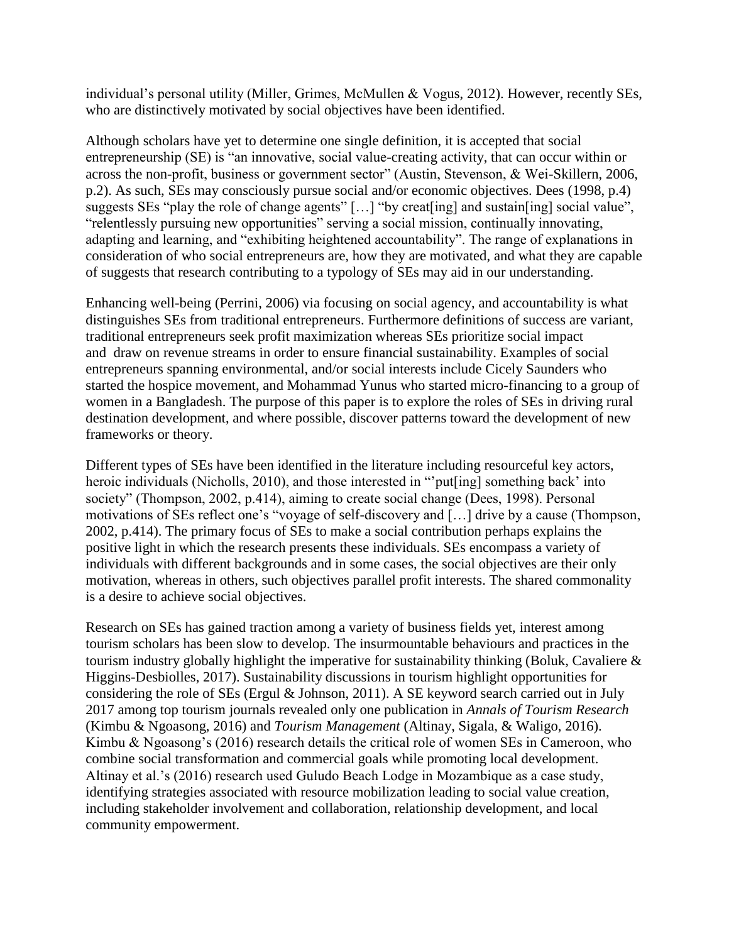individual's personal utility (Miller, Grimes, McMullen & Vogus, 2012). However, recently SEs, who are distinctively motivated by social objectives have been identified.

Although scholars have yet to determine one single definition, it is accepted that social entrepreneurship (SE) is "an innovative, social value-creating activity, that can occur within or across the non-profit, business or government sector" (Austin, Stevenson, & Wei-Skillern, 2006, p.2). As such, SEs may consciously pursue social and/or economic objectives. Dees (1998, p.4) suggests SEs "play the role of change agents" […] "by creat[ing] and sustain[ing] social value", "relentlessly pursuing new opportunities" serving a social mission, continually innovating, adapting and learning, and "exhibiting heightened accountability". The range of explanations in consideration of who social entrepreneurs are, how they are motivated, and what they are capable of suggests that research contributing to a typology of SEs may aid in our understanding.

Enhancing well-being (Perrini, 2006) via focusing on social agency, and accountability is what distinguishes SEs from traditional entrepreneurs. Furthermore definitions of success are variant, traditional entrepreneurs seek profit maximization whereas SEs prioritize social impact and draw on revenue streams in order to ensure financial sustainability. Examples of social entrepreneurs spanning environmental, and/or social interests include Cicely Saunders who started the hospice movement, and Mohammad Yunus who started micro-financing to a group of women in a Bangladesh. The purpose of this paper is to explore the roles of SEs in driving rural destination development, and where possible, discover patterns toward the development of new frameworks or theory.

Different types of SEs have been identified in the literature including resourceful key actors, heroic individuals (Nicholls, 2010), and those interested in "'put[ing] something back' into society" (Thompson, 2002, p.414), aiming to create social change (Dees, 1998). Personal motivations of SEs reflect one's "voyage of self-discovery and […] drive by a cause (Thompson, 2002, p.414). The primary focus of SEs to make a social contribution perhaps explains the positive light in which the research presents these individuals. SEs encompass a variety of individuals with different backgrounds and in some cases, the social objectives are their only motivation, whereas in others, such objectives parallel profit interests. The shared commonality is a desire to achieve social objectives.

Research on SEs has gained traction among a variety of business fields yet, interest among tourism scholars has been slow to develop. The insurmountable behaviours and practices in the tourism industry globally highlight the imperative for sustainability thinking (Boluk, Cavaliere & Higgins-Desbiolles, 2017). Sustainability discussions in tourism highlight opportunities for considering the role of SEs (Ergul & Johnson, 2011). A SE keyword search carried out in July 2017 among top tourism journals revealed only one publication in *Annals of Tourism Research* (Kimbu & Ngoasong, 2016) and *Tourism Management* (Altinay, Sigala, & Waligo, 2016). Kimbu & Ngoasong's (2016) research details the critical role of women SEs in Cameroon, who combine social transformation and commercial goals while promoting local development. Altinay et al.'s (2016) research used Guludo Beach Lodge in Mozambique as a case study, identifying strategies associated with resource mobilization leading to social value creation, including stakeholder involvement and collaboration, relationship development, and local community empowerment.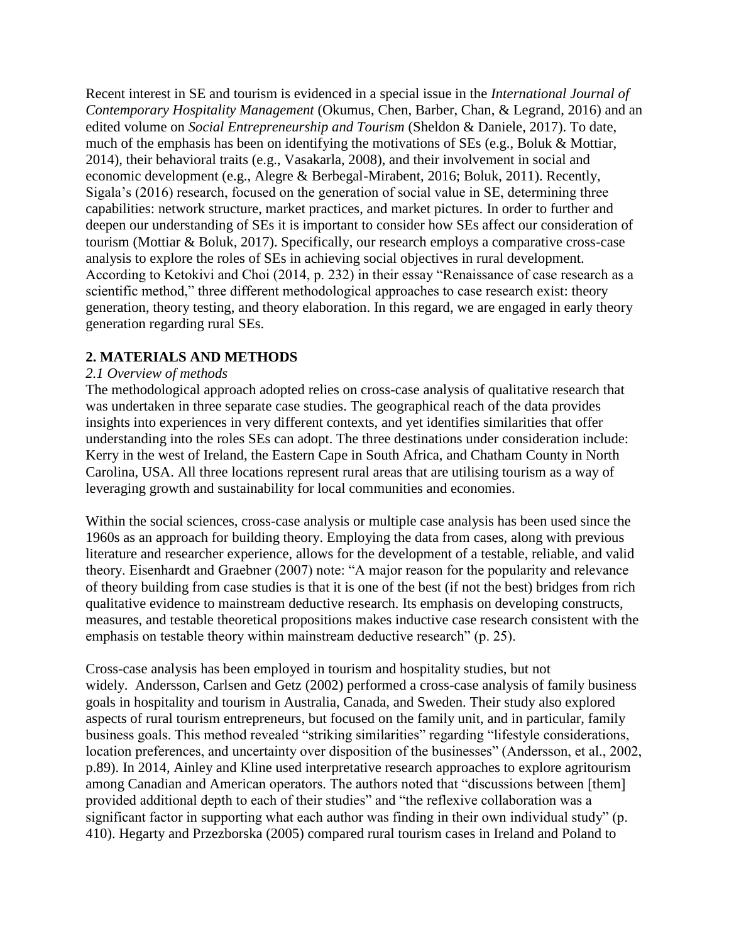Recent interest in SE and tourism is evidenced in a special issue in the *International Journal of Contemporary Hospitality Management* (Okumus, Chen, Barber, Chan, & Legrand, 2016) and an edited volume on *Social Entrepreneurship and Tourism* (Sheldon & Daniele, 2017). To date, much of the emphasis has been on identifying the motivations of SEs (e.g., Boluk & Mottiar, 2014), their behavioral traits (e.g., Vasakarla, 2008), and their involvement in social and economic development (e.g., Alegre & Berbegal-Mirabent, 2016; Boluk, 2011). Recently, Sigala's (2016) research, focused on the generation of social value in SE, determining three capabilities: network structure, market practices, and market pictures. In order to further and deepen our understanding of SEs it is important to consider how SEs affect our consideration of tourism (Mottiar & Boluk, 2017). Specifically, our research employs a comparative cross-case analysis to explore the roles of SEs in achieving social objectives in rural development. According to Ketokivi and Choi (2014, p. 232) in their essay "Renaissance of case research as a scientific method," three different methodological approaches to case research exist: theory generation, theory testing, and theory elaboration. In this regard, we are engaged in early theory generation regarding rural SEs.

## **2. MATERIALS AND METHODS**

### *2.1 Overview of methods*

The methodological approach adopted relies on cross-case analysis of qualitative research that was undertaken in three separate case studies. The geographical reach of the data provides insights into experiences in very different contexts, and yet identifies similarities that offer understanding into the roles SEs can adopt. The three destinations under consideration include: Kerry in the west of Ireland, the Eastern Cape in South Africa, and Chatham County in North Carolina, USA. All three locations represent rural areas that are utilising tourism as a way of leveraging growth and sustainability for local communities and economies.

Within the social sciences, cross-case analysis or multiple case analysis has been used since the 1960s as an approach for building theory. Employing the data from cases, along with previous literature and researcher experience, allows for the development of a testable, reliable, and valid theory. Eisenhardt and Graebner (2007) note: "A major reason for the popularity and relevance of theory building from case studies is that it is one of the best (if not the best) bridges from rich qualitative evidence to mainstream deductive research. Its emphasis on developing constructs, measures, and testable theoretical propositions makes inductive case research consistent with the emphasis on testable theory within mainstream deductive research" (p. 25).

Cross-case analysis has been employed in tourism and hospitality studies, but not widely. Andersson, Carlsen and Getz (2002) performed a cross-case analysis of family business goals in hospitality and tourism in Australia, Canada, and Sweden. Their study also explored aspects of rural tourism entrepreneurs, but focused on the family unit, and in particular, family business goals. This method revealed "striking similarities" regarding "lifestyle considerations, location preferences, and uncertainty over disposition of the businesses" (Andersson, et al., 2002, p.89). In 2014, Ainley and Kline used interpretative research approaches to explore agritourism among Canadian and American operators. The authors noted that "discussions between [them] provided additional depth to each of their studies" and "the reflexive collaboration was a significant factor in supporting what each author was finding in their own individual study" (p. 410). Hegarty and Przezborska (2005) compared rural tourism cases in Ireland and Poland to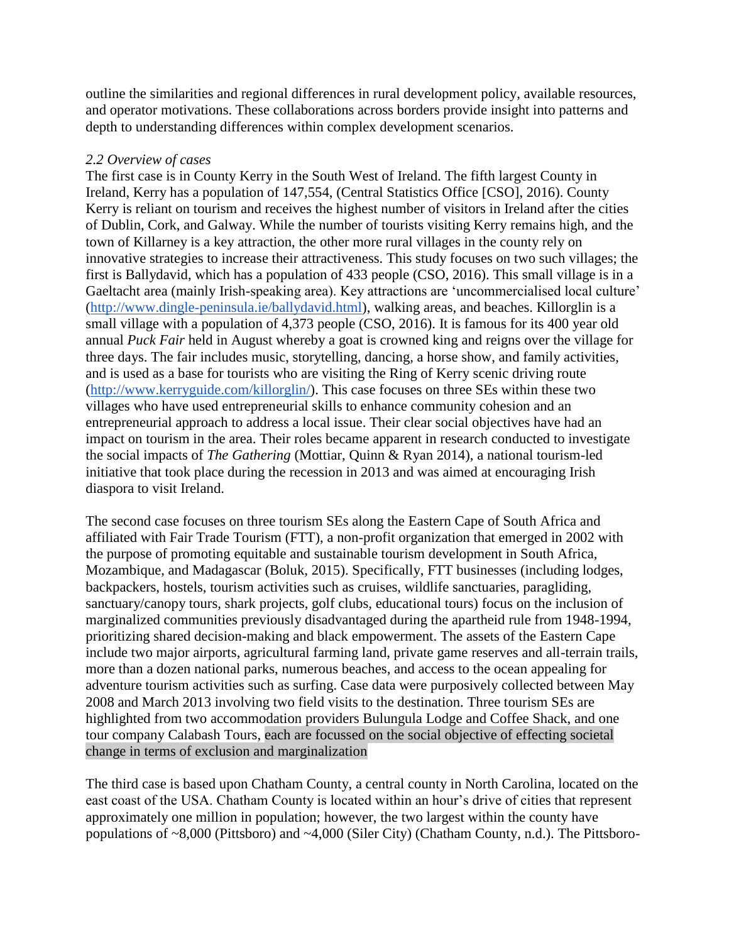outline the similarities and regional differences in rural development policy, available resources, and operator motivations. These collaborations across borders provide insight into patterns and depth to understanding differences within complex development scenarios.

## *2.2 Overview of cases*

The first case is in County Kerry in the South West of Ireland. The fifth largest County in Ireland, Kerry has a population of 147,554, (Central Statistics Office [CSO], 2016). County Kerry is reliant on tourism and receives the highest number of visitors in Ireland after the cities of Dublin, Cork, and Galway. While the number of tourists visiting Kerry remains high, and the town of Killarney is a key attraction, the other more rural villages in the county rely on innovative strategies to increase their attractiveness. This study focuses on two such villages; the first is Ballydavid, which has a population of 433 people (CSO, 2016). This small village is in a Gaeltacht area (mainly Irish-speaking area). Key attractions are 'uncommercialised local culture' [\(http://www.dingle-peninsula.ie/ballydavid.html\)](http://www.dingle-peninsula.ie/ballydavid.html), walking areas, and beaches. Killorglin is a small village with a population of 4,373 people (CSO, 2016). It is famous for its 400 year old annual *Puck Fair* held in August whereby a goat is crowned king and reigns over the village for three days. The fair includes music, storytelling, dancing, a horse show, and family activities, and is used as a base for tourists who are visiting the Ring of Kerry scenic driving route [\(http://www.kerryguide.com/killorglin/\)](http://www.kerryguide.com/killorglin/). This case focuses on three SEs within these two villages who have used entrepreneurial skills to enhance community cohesion and an entrepreneurial approach to address a local issue. Their clear social objectives have had an impact on tourism in the area. Their roles became apparent in research conducted to investigate the social impacts of *The Gathering* (Mottiar, Quinn & Ryan 2014), a national tourism-led initiative that took place during the recession in 2013 and was aimed at encouraging Irish diaspora to visit Ireland.

The second case focuses on three tourism SEs along the Eastern Cape of South Africa and affiliated with Fair Trade Tourism (FTT), a non-profit organization that emerged in 2002 with the purpose of promoting equitable and sustainable tourism development in South Africa, Mozambique, and Madagascar (Boluk, 2015). Specifically, FTT businesses (including lodges, backpackers, hostels, tourism activities such as cruises, wildlife sanctuaries, paragliding, sanctuary/canopy tours, shark projects, golf clubs, educational tours) focus on the inclusion of marginalized communities previously disadvantaged during the apartheid rule from 1948-1994, prioritizing shared decision-making and black empowerment. The assets of the Eastern Cape include two major airports, agricultural farming land, private game reserves and all-terrain trails, more than a dozen national parks, numerous beaches, and access to the ocean appealing for adventure tourism activities such as surfing. Case data were purposively collected between May 2008 and March 2013 involving two field visits to the destination. Three tourism SEs are highlighted from two accommodation providers Bulungula Lodge and Coffee Shack, and one tour company Calabash Tours, each are focussed on the social objective of effecting societal change in terms of exclusion and marginalization

The third case is based upon Chatham County, a central county in North Carolina, located on the east coast of the USA. Chatham County is located within an hour's drive of cities that represent approximately one million in population; however, the two largest within the county have populations of ~8,000 (Pittsboro) and ~4,000 (Siler City) (Chatham County, n.d.). The Pittsboro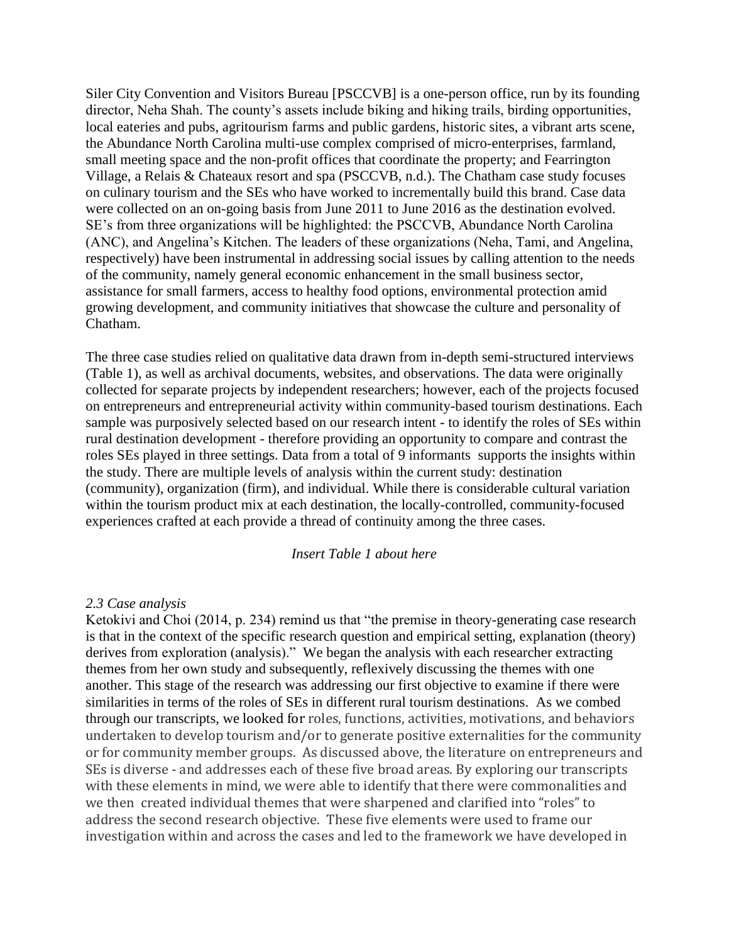Siler City Convention and Visitors Bureau [PSCCVB] is a one-person office, run by its founding director, Neha Shah. The county's assets include biking and hiking trails, birding opportunities, local eateries and pubs, agritourism farms and public gardens, historic sites, a vibrant arts scene, the Abundance North Carolina multi-use complex comprised of micro-enterprises, farmland, small meeting space and the non-profit offices that coordinate the property; and Fearrington Village, a Relais & Chateaux resort and spa (PSCCVB, n.d.). The Chatham case study focuses on culinary tourism and the SEs who have worked to incrementally build this brand. Case data were collected on an on-going basis from June 2011 to June 2016 as the destination evolved. SE's from three organizations will be highlighted: the PSCCVB, Abundance North Carolina (ANC), and Angelina's Kitchen. The leaders of these organizations (Neha, Tami, and Angelina, respectively) have been instrumental in addressing social issues by calling attention to the needs of the community, namely general economic enhancement in the small business sector, assistance for small farmers, access to healthy food options, environmental protection amid growing development, and community initiatives that showcase the culture and personality of Chatham.

The three case studies relied on qualitative data drawn from in-depth semi-structured interviews (Table 1), as well as archival documents, websites, and observations. The data were originally collected for separate projects by independent researchers; however, each of the projects focused on entrepreneurs and entrepreneurial activity within community-based tourism destinations. Each sample was purposively selected based on our research intent - to identify the roles of SEs within rural destination development - therefore providing an opportunity to compare and contrast the roles SEs played in three settings. Data from a total of 9 informants supports the insights within the study. There are multiple levels of analysis within the current study: destination (community), organization (firm), and individual. While there is considerable cultural variation within the tourism product mix at each destination, the locally-controlled, community-focused experiences crafted at each provide a thread of continuity among the three cases.

#### *Insert Table 1 about here*

#### *2.3 Case analysis*

Ketokivi and Choi (2014, p. 234) remind us that "the premise in theory-generating case research is that in the context of the specific research question and empirical setting, explanation (theory) derives from exploration (analysis)." We began the analysis with each researcher extracting themes from her own study and subsequently, reflexively discussing the themes with one another. This stage of the research was addressing our first objective to examine if there were similarities in terms of the roles of SEs in different rural tourism destinations. As we combed through our transcripts, we looked for roles, functions, activities, motivations, and behaviors undertaken to develop tourism and/or to generate positive externalities for the community or for community member groups. As discussed above, the literature on entrepreneurs and SEs is diverse - and addresses each of these five broad areas. By exploring our transcripts with these elements in mind, we were able to identify that there were commonalities and we then created individual themes that were sharpened and clarified into "roles" to address the second research objective. These five elements were used to frame our investigation within and across the cases and led to the framework we have developed in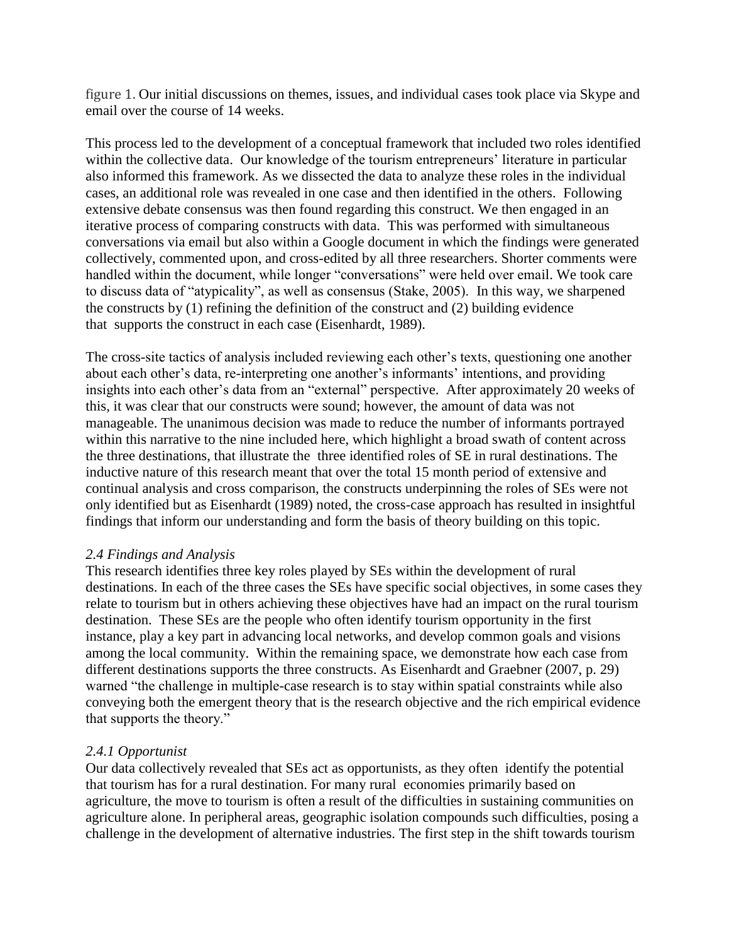figure 1. Our initial discussions on themes, issues, and individual cases took place via Skype and email over the course of 14 weeks.

This process led to the development of a conceptual framework that included two roles identified within the collective data. Our knowledge of the tourism entrepreneurs' literature in particular also informed this framework. As we dissected the data to analyze these roles in the individual cases, an additional role was revealed in one case and then identified in the others. Following extensive debate consensus was then found regarding this construct. We then engaged in an iterative process of comparing constructs with data. This was performed with simultaneous conversations via email but also within a Google document in which the findings were generated collectively, commented upon, and cross-edited by all three researchers. Shorter comments were handled within the document, while longer "conversations" were held over email. We took care to discuss data of "atypicality", as well as consensus (Stake, 2005). In this way, we sharpened the constructs by (1) refining the definition of the construct and (2) building evidence that supports the construct in each case (Eisenhardt, 1989).

The cross-site tactics of analysis included reviewing each other's texts, questioning one another about each other's data, re-interpreting one another's informants' intentions, and providing insights into each other's data from an "external" perspective. After approximately 20 weeks of this, it was clear that our constructs were sound; however, the amount of data was not manageable. The unanimous decision was made to reduce the number of informants portrayed within this narrative to the nine included here, which highlight a broad swath of content across the three destinations, that illustrate the three identified roles of SE in rural destinations. The inductive nature of this research meant that over the total 15 month period of extensive and continual analysis and cross comparison, the constructs underpinning the roles of SEs were not only identified but as Eisenhardt (1989) noted, the cross-case approach has resulted in insightful findings that inform our understanding and form the basis of theory building on this topic.

## *2.4 Findings and Analysis*

This research identifies three key roles played by SEs within the development of rural destinations. In each of the three cases the SEs have specific social objectives, in some cases they relate to tourism but in others achieving these objectives have had an impact on the rural tourism destination. These SEs are the people who often identify tourism opportunity in the first instance, play a key part in advancing local networks, and develop common goals and visions among the local community. Within the remaining space, we demonstrate how each case from different destinations supports the three constructs. As Eisenhardt and Graebner (2007, p. 29) warned "the challenge in multiple-case research is to stay within spatial constraints while also conveying both the emergent theory that is the research objective and the rich empirical evidence that supports the theory."

## *2.4.1 Opportunist*

Our data collectively revealed that SEs act as opportunists, as they often identify the potential that tourism has for a rural destination. For many rural economies primarily based on agriculture, the move to tourism is often a result of the difficulties in sustaining communities on agriculture alone. In peripheral areas, geographic isolation compounds such difficulties, posing a challenge in the development of alternative industries. The first step in the shift towards tourism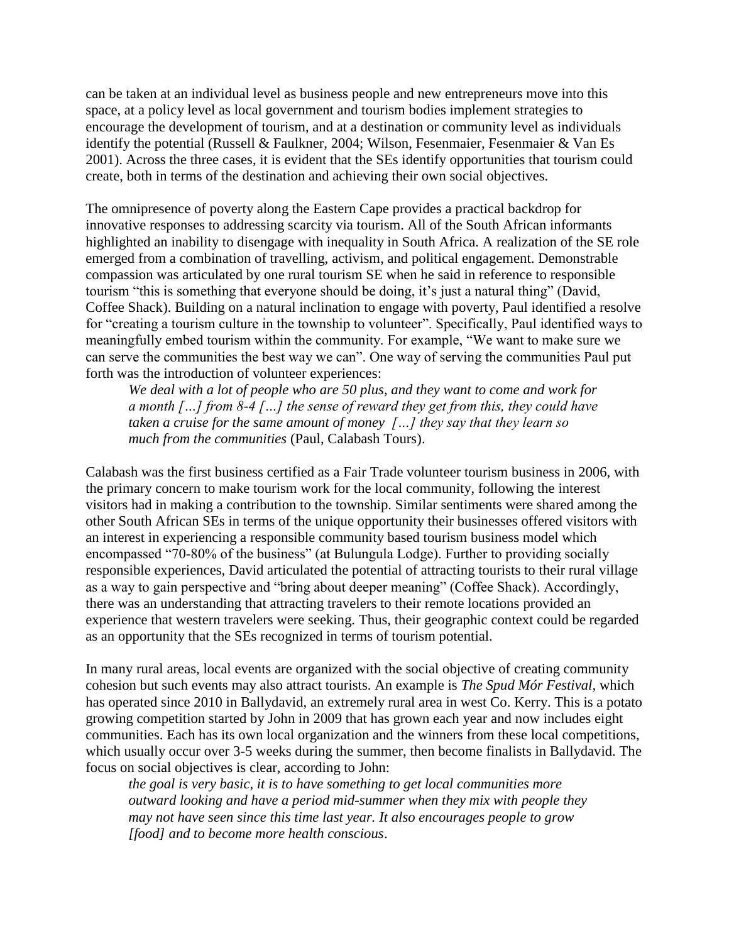can be taken at an individual level as business people and new entrepreneurs move into this space, at a policy level as local government and tourism bodies implement strategies to encourage the development of tourism, and at a destination or community level as individuals identify the potential (Russell & Faulkner, 2004; Wilson, Fesenmaier, Fesenmaier & Van Es 2001). Across the three cases, it is evident that the SEs identify opportunities that tourism could create, both in terms of the destination and achieving their own social objectives.

The omnipresence of poverty along the Eastern Cape provides a practical backdrop for innovative responses to addressing scarcity via tourism. All of the South African informants highlighted an inability to disengage with inequality in South Africa. A realization of the SE role emerged from a combination of travelling, activism, and political engagement. Demonstrable compassion was articulated by one rural tourism SE when he said in reference to responsible tourism "this is something that everyone should be doing, it's just a natural thing" (David, Coffee Shack). Building on a natural inclination to engage with poverty, Paul identified a resolve for "creating a tourism culture in the township to volunteer". Specifically, Paul identified ways to meaningfully embed tourism within the community. For example, "We want to make sure we can serve the communities the best way we can". One way of serving the communities Paul put forth was the introduction of volunteer experiences:

*We deal with a lot of people who are 50 plus, and they want to come and work for a month […] from 8-4 […] the sense of reward they get from this, they could have taken a cruise for the same amount of money […] they say that they learn so much from the communities* (Paul, Calabash Tours).

Calabash was the first business certified as a Fair Trade volunteer tourism business in 2006, with the primary concern to make tourism work for the local community, following the interest visitors had in making a contribution to the township. Similar sentiments were shared among the other South African SEs in terms of the unique opportunity their businesses offered visitors with an interest in experiencing a responsible community based tourism business model which encompassed "70-80% of the business" (at Bulungula Lodge). Further to providing socially responsible experiences, David articulated the potential of attracting tourists to their rural village as a way to gain perspective and "bring about deeper meaning" (Coffee Shack). Accordingly, there was an understanding that attracting travelers to their remote locations provided an experience that western travelers were seeking. Thus, their geographic context could be regarded as an opportunity that the SEs recognized in terms of tourism potential.

In many rural areas, local events are organized with the social objective of creating community cohesion but such events may also attract tourists. An example is *The Spud Mór Festival,* which has operated since 2010 in Ballydavid, an extremely rural area in west Co. Kerry. This is a potato growing competition started by John in 2009 that has grown each year and now includes eight communities. Each has its own local organization and the winners from these local competitions, which usually occur over 3-5 weeks during the summer, then become finalists in Ballydavid. The focus on social objectives is clear, according to John:

*the goal is very basic, it is to have something to get local communities more outward looking and have a period mid-summer when they mix with people they may not have seen since this time last year. It also encourages people to grow [food] and to become more health conscious*.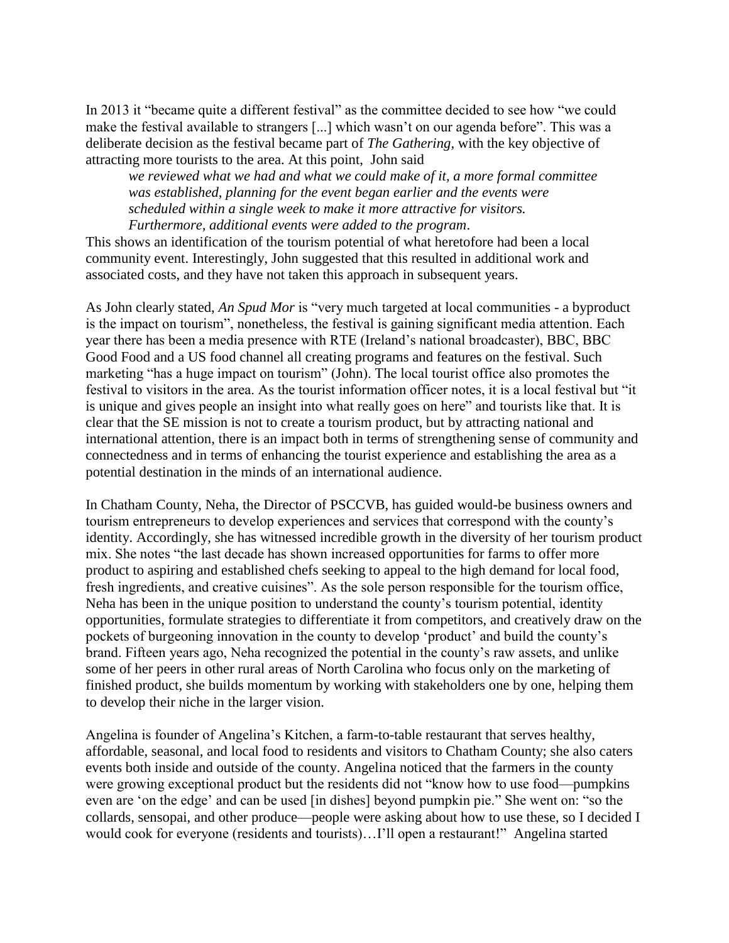In 2013 it "became quite a different festival" as the committee decided to see how "we could make the festival available to strangers [...] which wasn't on our agenda before". This was a deliberate decision as the festival became part of *The Gathering,* with the key objective of attracting more tourists to the area. At this point, John said

*we reviewed what we had and what we could make of it, a more formal committee was established, planning for the event began earlier and the events were scheduled within a single week to make it more attractive for visitors. Furthermore, additional events were added to the program*.

This shows an identification of the tourism potential of what heretofore had been a local community event. Interestingly, John suggested that this resulted in additional work and associated costs, and they have not taken this approach in subsequent years.

As John clearly stated, *An Spud Mor* is "very much targeted at local communities - a byproduct is the impact on tourism", nonetheless, the festival is gaining significant media attention. Each year there has been a media presence with RTE (Ireland's national broadcaster), BBC, BBC Good Food and a US food channel all creating programs and features on the festival. Such marketing "has a huge impact on tourism" (John). The local tourist office also promotes the festival to visitors in the area. As the tourist information officer notes, it is a local festival but "it is unique and gives people an insight into what really goes on here" and tourists like that. It is clear that the SE mission is not to create a tourism product, but by attracting national and international attention, there is an impact both in terms of strengthening sense of community and connectedness and in terms of enhancing the tourist experience and establishing the area as a potential destination in the minds of an international audience.

In Chatham County, Neha, the Director of PSCCVB, has guided would-be business owners and tourism entrepreneurs to develop experiences and services that correspond with the county's identity. Accordingly, she has witnessed incredible growth in the diversity of her tourism product mix. She notes "the last decade has shown increased opportunities for farms to offer more product to aspiring and established chefs seeking to appeal to the high demand for local food, fresh ingredients, and creative cuisines". As the sole person responsible for the tourism office, Neha has been in the unique position to understand the county's tourism potential, identity opportunities, formulate strategies to differentiate it from competitors, and creatively draw on the pockets of burgeoning innovation in the county to develop 'product' and build the county's brand. Fifteen years ago, Neha recognized the potential in the county's raw assets, and unlike some of her peers in other rural areas of North Carolina who focus only on the marketing of finished product, she builds momentum by working with stakeholders one by one, helping them to develop their niche in the larger vision.

Angelina is founder of Angelina's Kitchen, a farm-to-table restaurant that serves healthy, affordable, seasonal, and local food to residents and visitors to Chatham County; she also caters events both inside and outside of the county. Angelina noticed that the farmers in the county were growing exceptional product but the residents did not "know how to use food—pumpkins even are 'on the edge' and can be used [in dishes] beyond pumpkin pie." She went on: "so the collards, sensopai, and other produce—people were asking about how to use these, so I decided I would cook for everyone (residents and tourists)…I'll open a restaurant!" Angelina started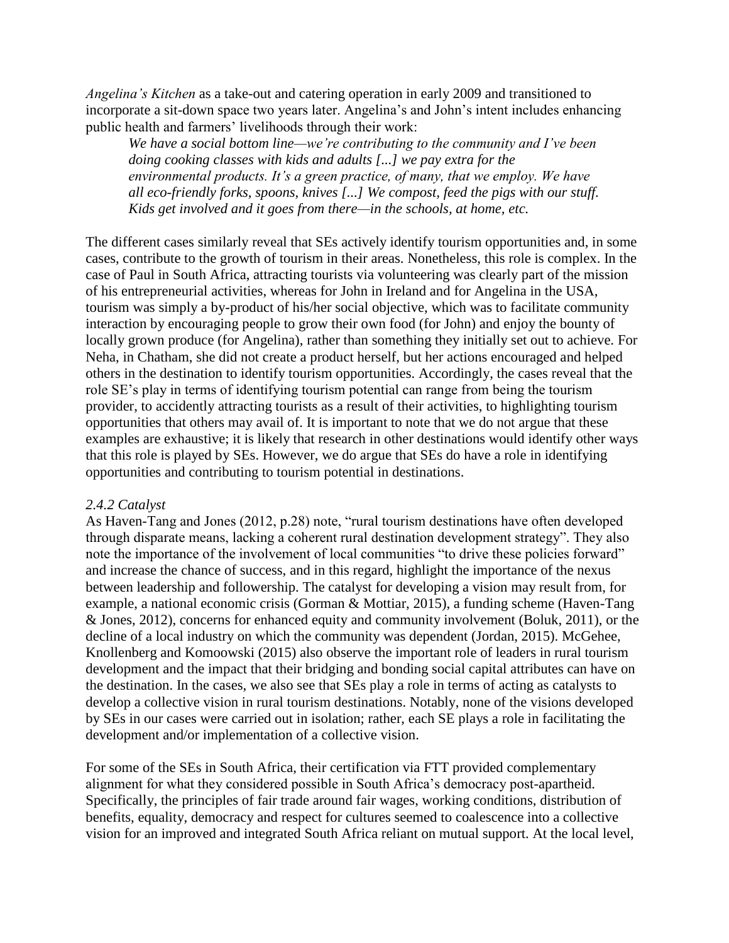*Angelina's Kitchen* as a take-out and catering operation in early 2009 and transitioned to incorporate a sit-down space two years later. Angelina's and John's intent includes enhancing public health and farmers' livelihoods through their work:

*We have a social bottom line—we're contributing to the community and I've been doing cooking classes with kids and adults [...] we pay extra for the environmental products. It's a green practice, of many, that we employ. We have all eco-friendly forks, spoons, knives [...] We compost, feed the pigs with our stuff. Kids get involved and it goes from there—in the schools, at home, etc.*

The different cases similarly reveal that SEs actively identify tourism opportunities and, in some cases, contribute to the growth of tourism in their areas. Nonetheless, this role is complex. In the case of Paul in South Africa, attracting tourists via volunteering was clearly part of the mission of his entrepreneurial activities, whereas for John in Ireland and for Angelina in the USA, tourism was simply a by-product of his/her social objective, which was to facilitate community interaction by encouraging people to grow their own food (for John) and enjoy the bounty of locally grown produce (for Angelina), rather than something they initially set out to achieve. For Neha, in Chatham, she did not create a product herself, but her actions encouraged and helped others in the destination to identify tourism opportunities. Accordingly, the cases reveal that the role SE's play in terms of identifying tourism potential can range from being the tourism provider, to accidently attracting tourists as a result of their activities, to highlighting tourism opportunities that others may avail of. It is important to note that we do not argue that these examples are exhaustive; it is likely that research in other destinations would identify other ways that this role is played by SEs. However, we do argue that SEs do have a role in identifying opportunities and contributing to tourism potential in destinations.

#### *2.4.2 Catalyst*

As Haven-Tang and Jones (2012, p.28) note, "rural tourism destinations have often developed through disparate means, lacking a coherent rural destination development strategy". They also note the importance of the involvement of local communities "to drive these policies forward" and increase the chance of success, and in this regard, highlight the importance of the nexus between leadership and followership. The catalyst for developing a vision may result from, for example, a national economic crisis (Gorman & Mottiar, 2015), a funding scheme (Haven-Tang & Jones, 2012), concerns for enhanced equity and community involvement (Boluk, 2011), or the decline of a local industry on which the community was dependent (Jordan, 2015). McGehee, Knollenberg and Komoowski (2015) also observe the important role of leaders in rural tourism development and the impact that their bridging and bonding social capital attributes can have on the destination. In the cases, we also see that SEs play a role in terms of acting as catalysts to develop a collective vision in rural tourism destinations. Notably, none of the visions developed by SEs in our cases were carried out in isolation; rather, each SE plays a role in facilitating the development and/or implementation of a collective vision.

For some of the SEs in South Africa, their certification via FTT provided complementary alignment for what they considered possible in South Africa's democracy post-apartheid. Specifically, the principles of fair trade around fair wages, working conditions, distribution of benefits, equality, democracy and respect for cultures seemed to coalescence into a collective vision for an improved and integrated South Africa reliant on mutual support. At the local level,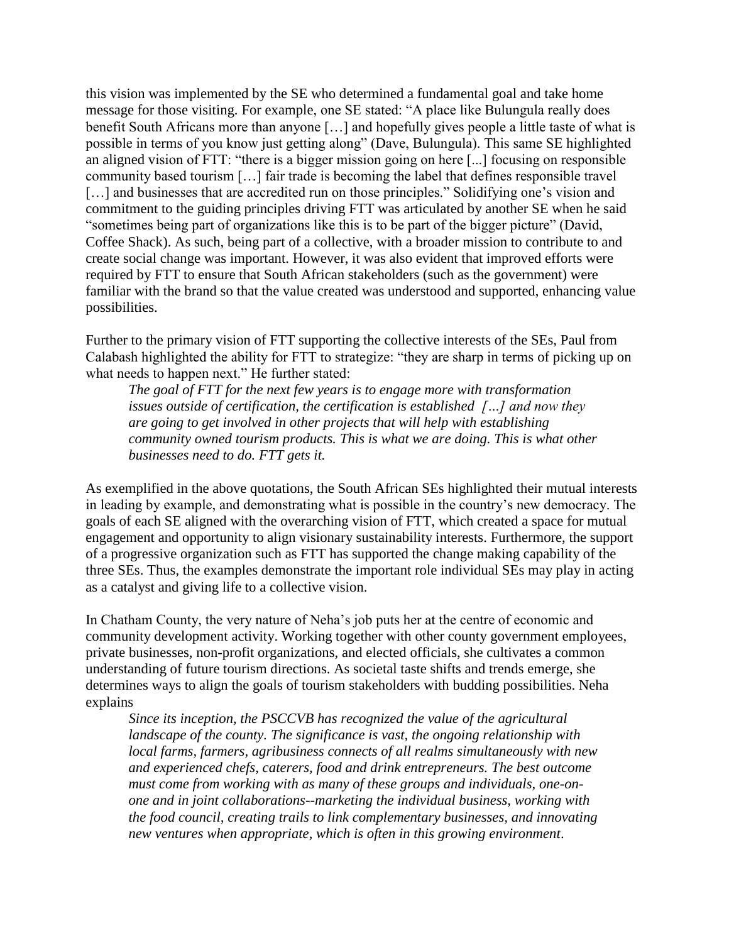this vision was implemented by the SE who determined a fundamental goal and take home message for those visiting. For example, one SE stated: "A place like Bulungula really does benefit South Africans more than anyone […] and hopefully gives people a little taste of what is possible in terms of you know just getting along" (Dave, Bulungula). This same SE highlighted an aligned vision of FTT: "there is a bigger mission going on here [...] focusing on responsible community based tourism […] fair trade is becoming the label that defines responsible travel [...] and businesses that are accredited run on those principles." Solidifying one's vision and commitment to the guiding principles driving FTT was articulated by another SE when he said "sometimes being part of organizations like this is to be part of the bigger picture" (David, Coffee Shack). As such, being part of a collective, with a broader mission to contribute to and create social change was important. However, it was also evident that improved efforts were required by FTT to ensure that South African stakeholders (such as the government) were familiar with the brand so that the value created was understood and supported, enhancing value possibilities.

Further to the primary vision of FTT supporting the collective interests of the SEs, Paul from Calabash highlighted the ability for FTT to strategize: "they are sharp in terms of picking up on what needs to happen next." He further stated:

*The goal of FTT for the next few years is to engage more with transformation issues outside of certification, the certification is established […] and now they are going to get involved in other projects that will help with establishing community owned tourism products. This is what we are doing. This is what other businesses need to do. FTT gets it.*

As exemplified in the above quotations, the South African SEs highlighted their mutual interests in leading by example, and demonstrating what is possible in the country's new democracy. The goals of each SE aligned with the overarching vision of FTT, which created a space for mutual engagement and opportunity to align visionary sustainability interests. Furthermore, the support of a progressive organization such as FTT has supported the change making capability of the three SEs. Thus, the examples demonstrate the important role individual SEs may play in acting as a catalyst and giving life to a collective vision.

In Chatham County, the very nature of Neha's job puts her at the centre of economic and community development activity. Working together with other county government employees, private businesses, non-profit organizations, and elected officials, she cultivates a common understanding of future tourism directions. As societal taste shifts and trends emerge, she determines ways to align the goals of tourism stakeholders with budding possibilities. Neha explains

*Since its inception, the PSCCVB has recognized the value of the agricultural landscape of the county. The significance is vast, the ongoing relationship with local farms, farmers, agribusiness connects of all realms simultaneously with new and experienced chefs, caterers, food and drink entrepreneurs. The best outcome must come from working with as many of these groups and individuals, one-onone and in joint collaborations--marketing the individual business, working with the food council, creating trails to link complementary businesses, and innovating new ventures when appropriate, which is often in this growing environment*.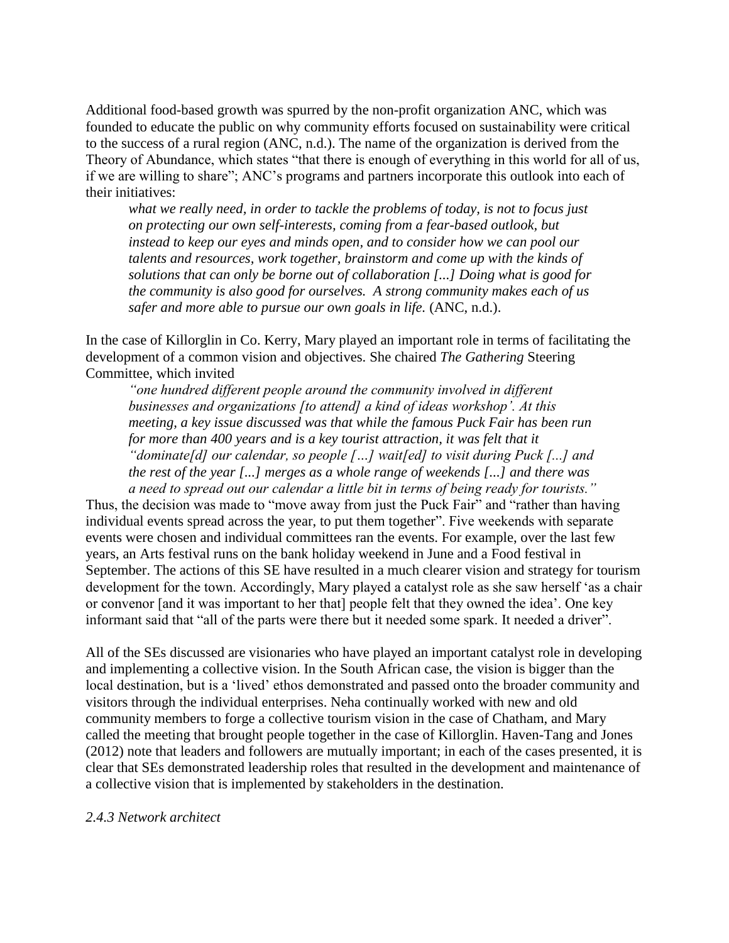Additional food-based growth was spurred by the non-profit organization ANC, which was founded to educate the public on why community efforts focused on sustainability were critical to the success of a rural region (ANC, n.d.). The name of the organization is derived from the Theory of Abundance, which states "that there is enough of everything in this world for all of us, if we are willing to share"; ANC's programs and partners incorporate this outlook into each of their initiatives:

*what we really need, in order to tackle the problems of today, is not to focus just on protecting our own self-interests, coming from a fear-based outlook, but instead to keep our eyes and minds open, and to consider how we can pool our talents and resources, work together, brainstorm and come up with the kinds of solutions that can only be borne out of collaboration [...] Doing what is good for the community is also good for ourselves. A strong community makes each of us safer and more able to pursue our own goals in life.* (ANC, n.d.).

In the case of Killorglin in Co. Kerry, Mary played an important role in terms of facilitating the development of a common vision and objectives. She chaired *The Gathering* Steering Committee, which invited

"one hundred different people around the community involved in different *businesses and organizations [to attend] a kind of ideas workshop'. At this meeting, a key issue discussed was that while the famous Puck Fair has been run for more than 400 years and is a key tourist attraction, it was felt that it "dominate[d] our calendar, so people […] wait[ed] to visit during Puck [...] and the rest of the year [...] merges as a whole range of weekends [...] and there was a need to spread out our calendar a little bit in terms of being ready for tourists."* 

Thus, the decision was made to "move away from just the Puck Fair" and "rather than having individual events spread across the year, to put them together". Five weekends with separate events were chosen and individual committees ran the events. For example, over the last few years, an Arts festival runs on the bank holiday weekend in June and a Food festival in September. The actions of this SE have resulted in a much clearer vision and strategy for tourism development for the town. Accordingly, Mary played a catalyst role as she saw herself 'as a chair or convenor [and it was important to her that] people felt that they owned the idea'. One key informant said that "all of the parts were there but it needed some spark. It needed a driver".

All of the SEs discussed are visionaries who have played an important catalyst role in developing and implementing a collective vision. In the South African case, the vision is bigger than the local destination, but is a 'lived' ethos demonstrated and passed onto the broader community and visitors through the individual enterprises. Neha continually worked with new and old community members to forge a collective tourism vision in the case of Chatham, and Mary called the meeting that brought people together in the case of Killorglin. Haven-Tang and Jones (2012) note that leaders and followers are mutually important; in each of the cases presented, it is clear that SEs demonstrated leadership roles that resulted in the development and maintenance of a collective vision that is implemented by stakeholders in the destination.

#### *2.4.3 Network architect*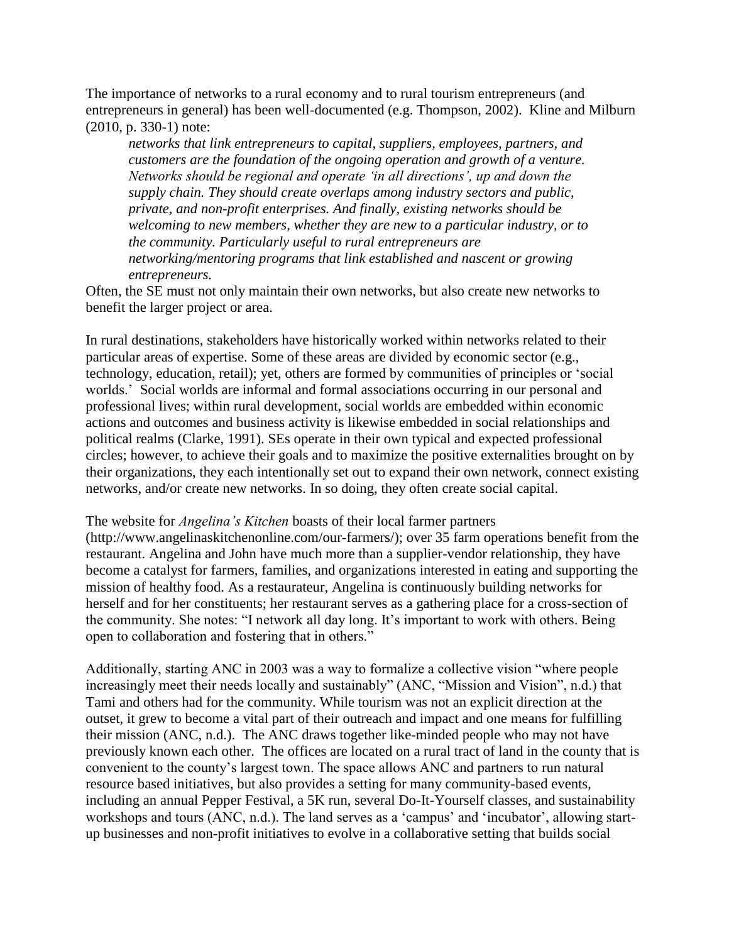The importance of networks to a rural economy and to rural tourism entrepreneurs (and entrepreneurs in general) has been well-documented (e.g. Thompson, 2002). Kline and Milburn (2010, p. 330-1) note:

*networks that link entrepreneurs to capital, suppliers, employees, partners, and customers are the foundation of the ongoing operation and growth of a venture. Networks should be regional and operate 'in all directions', up and down the supply chain. They should create overlaps among industry sectors and public, private, and non-profit enterprises. And finally, existing networks should be welcoming to new members, whether they are new to a particular industry, or to the community. Particularly useful to rural entrepreneurs are networking/mentoring programs that link established and nascent or growing entrepreneurs.* 

Often, the SE must not only maintain their own networks, but also create new networks to benefit the larger project or area.

In rural destinations, stakeholders have historically worked within networks related to their particular areas of expertise. Some of these areas are divided by economic sector (e.g., technology, education, retail); yet, others are formed by communities of principles or 'social worlds.' Social worlds are informal and formal associations occurring in our personal and professional lives; within rural development, social worlds are embedded within economic actions and outcomes and business activity is likewise embedded in social relationships and political realms (Clarke, 1991). SEs operate in their own typical and expected professional circles; however, to achieve their goals and to maximize the positive externalities brought on by their organizations, they each intentionally set out to expand their own network, connect existing networks, and/or create new networks. In so doing, they often create social capital.

#### The website for *Angelina's Kitchen* boasts of their local farmer partners

(http://www.angelinaskitchenonline.com/our-farmers/); over 35 farm operations benefit from the restaurant. Angelina and John have much more than a supplier-vendor relationship, they have become a catalyst for farmers, families, and organizations interested in eating and supporting the mission of healthy food. As a restaurateur, Angelina is continuously building networks for herself and for her constituents; her restaurant serves as a gathering place for a cross-section of the community. She notes: "I network all day long. It's important to work with others. Being open to collaboration and fostering that in others."

Additionally, starting ANC in 2003 was a way to formalize a collective vision "where people increasingly meet their needs locally and sustainably" (ANC, "Mission and Vision", n.d.) that Tami and others had for the community. While tourism was not an explicit direction at the outset, it grew to become a vital part of their outreach and impact and one means for fulfilling their mission (ANC, n.d.). The ANC draws together like-minded people who may not have previously known each other. The offices are located on a rural tract of land in the county that is convenient to the county's largest town. The space allows ANC and partners to run natural resource based initiatives, but also provides a setting for many community-based events, including an annual Pepper Festival, a 5K run, several Do-It-Yourself classes, and sustainability workshops and tours (ANC, n.d.). The land serves as a 'campus' and 'incubator', allowing startup businesses and non-profit initiatives to evolve in a collaborative setting that builds social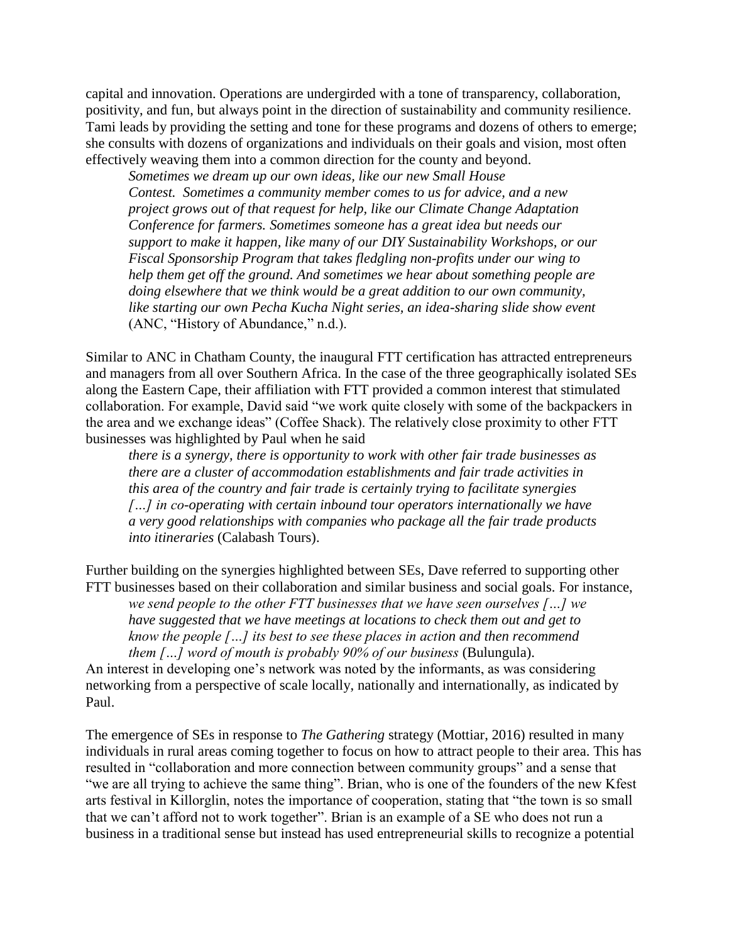capital and innovation. Operations are undergirded with a tone of transparency, collaboration, positivity, and fun, but always point in the direction of sustainability and community resilience. Tami leads by providing the setting and tone for these programs and dozens of others to emerge; she consults with dozens of organizations and individuals on their goals and vision, most often effectively weaving them into a common direction for the county and beyond.

*Sometimes we dream up our own ideas, like our new Small House Contest. Sometimes a community member comes to us for advice, and a new project grows out of that request for help, like our Climate Change Adaptation Conference for farmers. Sometimes someone has a great idea but needs our support to make it happen, like many of our DIY Sustainability Workshops, or our Fiscal Sponsorship Program that takes fledgling non-profits under our wing to help them get off the ground. And sometimes we hear about something people are doing elsewhere that we think would be a great addition to our own community, like starting our own Pecha Kucha Night series, an idea-sharing slide show event*  (ANC, "History of Abundance," n.d.).

Similar to ANC in Chatham County, the inaugural FTT certification has attracted entrepreneurs and managers from all over Southern Africa. In the case of the three geographically isolated SEs along the Eastern Cape, their affiliation with FTT provided a common interest that stimulated collaboration. For example, David said "we work quite closely with some of the backpackers in the area and we exchange ideas" (Coffee Shack). The relatively close proximity to other FTT businesses was highlighted by Paul when he said

*there is a synergy, there is opportunity to work with other fair trade businesses as there are a cluster of accommodation establishments and fair trade activities in this area of the country and fair trade is certainly trying to facilitate synergies […] in co-operating with certain inbound tour operators internationally we have a very good relationships with companies who package all the fair trade products into itineraries* (Calabash Tours).

Further building on the synergies highlighted between SEs, Dave referred to supporting other FTT businesses based on their collaboration and similar business and social goals. For instance,

*we send people to the other FTT businesses that we have seen ourselves […] we have suggested that we have meetings at locations to check them out and get to know the people […] its best to see these places in action and then recommend them […] word of mouth is probably 90% of our business* (Bulungula).

An interest in developing one's network was noted by the informants, as was considering networking from a perspective of scale locally, nationally and internationally, as indicated by Paul.

The emergence of SEs in response to *The Gathering* strategy (Mottiar, 2016) resulted in many individuals in rural areas coming together to focus on how to attract people to their area. This has resulted in "collaboration and more connection between community groups" and a sense that "we are all trying to achieve the same thing". Brian, who is one of the founders of the new Kfest arts festival in Killorglin, notes the importance of cooperation, stating that "the town is so small that we can't afford not to work together". Brian is an example of a SE who does not run a business in a traditional sense but instead has used entrepreneurial skills to recognize a potential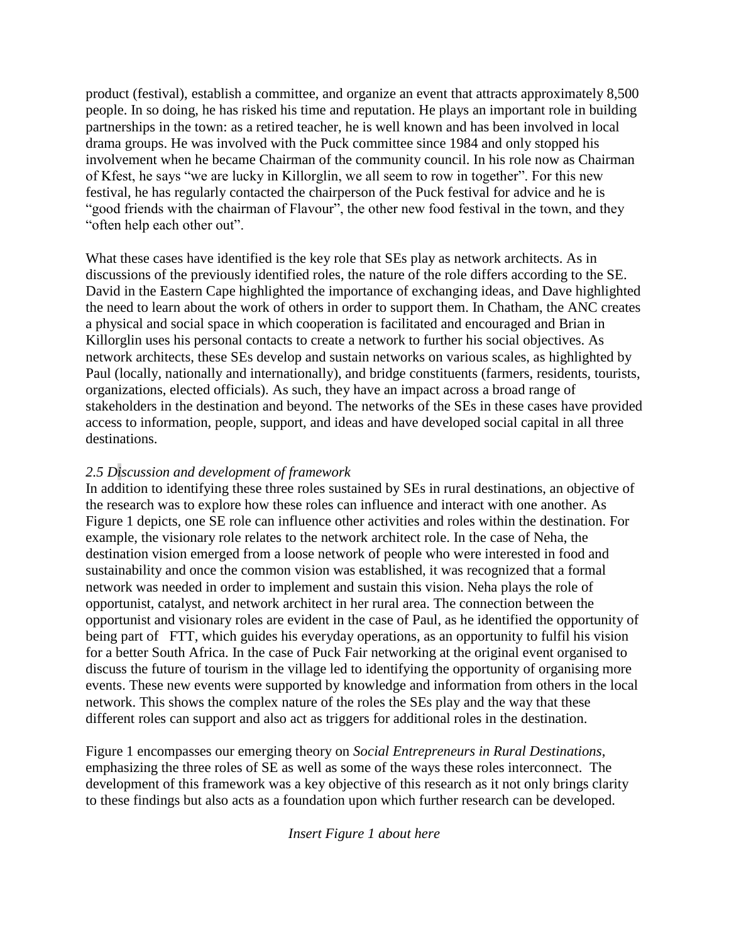product (festival), establish a committee, and organize an event that attracts approximately 8,500 people. In so doing, he has risked his time and reputation. He plays an important role in building partnerships in the town: as a retired teacher, he is well known and has been involved in local drama groups. He was involved with the Puck committee since 1984 and only stopped his involvement when he became Chairman of the community council. In his role now as Chairman of Kfest, he says "we are lucky in Killorglin, we all seem to row in together". For this new festival, he has regularly contacted the chairperson of the Puck festival for advice and he is "good friends with the chairman of Flavour", the other new food festival in the town, and they "often help each other out".

What these cases have identified is the key role that SEs play as network architects. As in discussions of the previously identified roles, the nature of the role differs according to the SE. David in the Eastern Cape highlighted the importance of exchanging ideas, and Dave highlighted the need to learn about the work of others in order to support them. In Chatham, the ANC creates a physical and social space in which cooperation is facilitated and encouraged and Brian in Killorglin uses his personal contacts to create a network to further his social objectives. As network architects, these SEs develop and sustain networks on various scales, as highlighted by Paul (locally, nationally and internationally), and bridge constituents (farmers, residents, tourists, organizations, elected officials). As such, they have an impact across a broad range of stakeholders in the destination and beyond. The networks of the SEs in these cases have provided access to information, people, support, and ideas and have developed social capital in all three destinations.

## *2.5 Discussion and development of framework*

In addition to identifying these three roles sustained by SEs in rural destinations, an objective of the research was to explore how these roles can influence and interact with one another. As Figure 1 depicts, one SE role can influence other activities and roles within the destination. For example, the visionary role relates to the network architect role. In the case of Neha, the destination vision emerged from a loose network of people who were interested in food and sustainability and once the common vision was established, it was recognized that a formal network was needed in order to implement and sustain this vision. Neha plays the role of opportunist, catalyst, and network architect in her rural area. The connection between the opportunist and visionary roles are evident in the case of Paul, as he identified the opportunity of being part of FTT, which guides his everyday operations, as an opportunity to fulfil his vision for a better South Africa. In the case of Puck Fair networking at the original event organised to discuss the future of tourism in the village led to identifying the opportunity of organising more events. These new events were supported by knowledge and information from others in the local network. This shows the complex nature of the roles the SEs play and the way that these different roles can support and also act as triggers for additional roles in the destination.

Figure 1 encompasses our emerging theory on *Social Entrepreneurs in Rural Destinations*, emphasizing the three roles of SE as well as some of the ways these roles interconnect. The development of this framework was a key objective of this research as it not only brings clarity to these findings but also acts as a foundation upon which further research can be developed.

*Insert Figure 1 about here*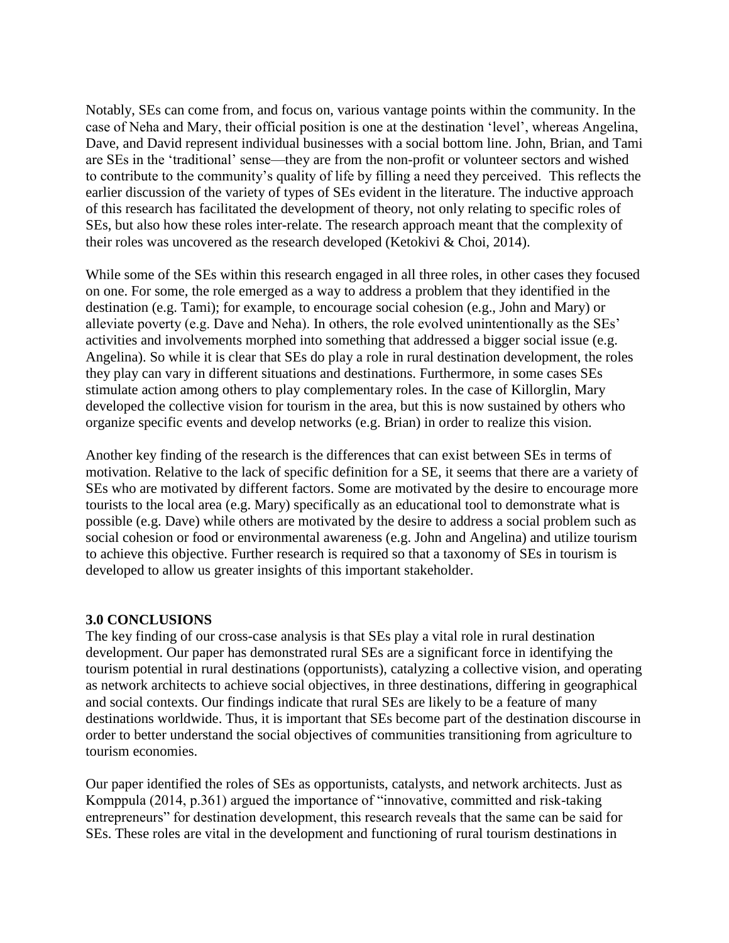Notably, SEs can come from, and focus on, various vantage points within the community. In the case of Neha and Mary, their official position is one at the destination 'level', whereas Angelina, Dave, and David represent individual businesses with a social bottom line. John, Brian, and Tami are SEs in the 'traditional' sense—they are from the non-profit or volunteer sectors and wished to contribute to the community's quality of life by filling a need they perceived. This reflects the earlier discussion of the variety of types of SEs evident in the literature. The inductive approach of this research has facilitated the development of theory, not only relating to specific roles of SEs, but also how these roles inter-relate. The research approach meant that the complexity of their roles was uncovered as the research developed (Ketokivi & Choi, 2014).

While some of the SEs within this research engaged in all three roles, in other cases they focused on one. For some, the role emerged as a way to address a problem that they identified in the destination (e.g. Tami); for example, to encourage social cohesion (e.g., John and Mary) or alleviate poverty (e.g. Dave and Neha). In others, the role evolved unintentionally as the SEs' activities and involvements morphed into something that addressed a bigger social issue (e.g. Angelina). So while it is clear that SEs do play a role in rural destination development, the roles they play can vary in different situations and destinations. Furthermore, in some cases SEs stimulate action among others to play complementary roles. In the case of Killorglin, Mary developed the collective vision for tourism in the area, but this is now sustained by others who organize specific events and develop networks (e.g. Brian) in order to realize this vision.

Another key finding of the research is the differences that can exist between SEs in terms of motivation. Relative to the lack of specific definition for a SE, it seems that there are a variety of SEs who are motivated by different factors. Some are motivated by the desire to encourage more tourists to the local area (e.g. Mary) specifically as an educational tool to demonstrate what is possible (e.g. Dave) while others are motivated by the desire to address a social problem such as social cohesion or food or environmental awareness (e.g. John and Angelina) and utilize tourism to achieve this objective. Further research is required so that a taxonomy of SEs in tourism is developed to allow us greater insights of this important stakeholder.

## **3.0 CONCLUSIONS**

The key finding of our cross-case analysis is that SEs play a vital role in rural destination development. Our paper has demonstrated rural SEs are a significant force in identifying the tourism potential in rural destinations (opportunists), catalyzing a collective vision, and operating as network architects to achieve social objectives, in three destinations, differing in geographical and social contexts. Our findings indicate that rural SEs are likely to be a feature of many destinations worldwide. Thus, it is important that SEs become part of the destination discourse in order to better understand the social objectives of communities transitioning from agriculture to tourism economies.

Our paper identified the roles of SEs as opportunists, catalysts, and network architects. Just as Komppula (2014, p.361) argued the importance of "innovative, committed and risk-taking entrepreneurs" for destination development, this research reveals that the same can be said for SEs. These roles are vital in the development and functioning of rural tourism destinations in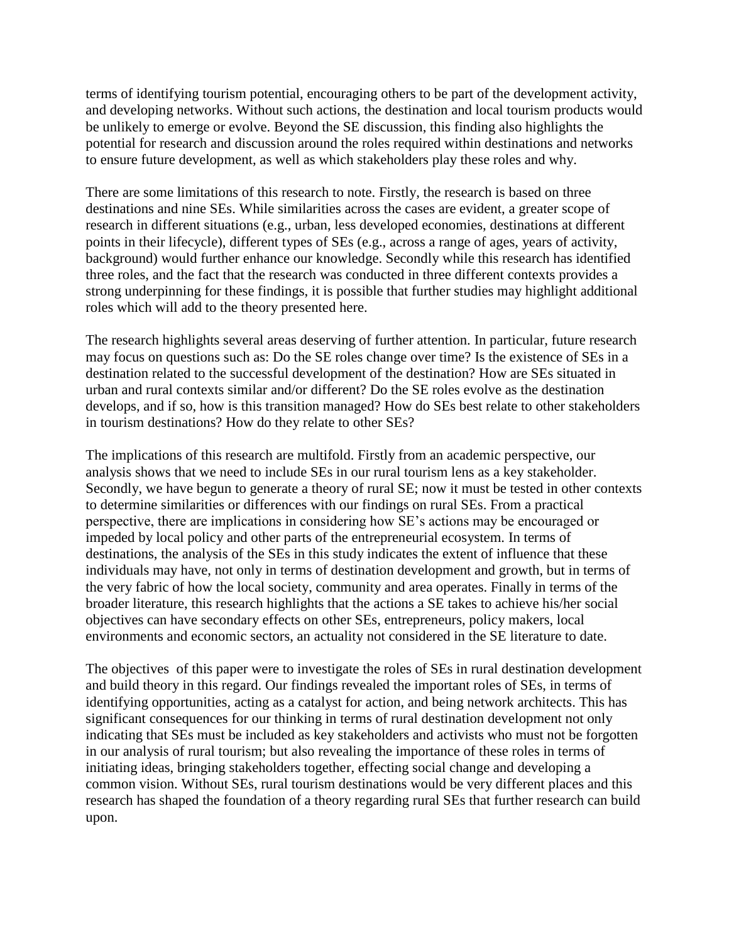terms of identifying tourism potential, encouraging others to be part of the development activity, and developing networks. Without such actions, the destination and local tourism products would be unlikely to emerge or evolve. Beyond the SE discussion, this finding also highlights the potential for research and discussion around the roles required within destinations and networks to ensure future development, as well as which stakeholders play these roles and why.

There are some limitations of this research to note. Firstly, the research is based on three destinations and nine SEs. While similarities across the cases are evident, a greater scope of research in different situations (e.g., urban, less developed economies, destinations at different points in their lifecycle), different types of SEs (e.g., across a range of ages, years of activity, background) would further enhance our knowledge. Secondly while this research has identified three roles, and the fact that the research was conducted in three different contexts provides a strong underpinning for these findings, it is possible that further studies may highlight additional roles which will add to the theory presented here.

The research highlights several areas deserving of further attention. In particular, future research may focus on questions such as: Do the SE roles change over time? Is the existence of SEs in a destination related to the successful development of the destination? How are SEs situated in urban and rural contexts similar and/or different? Do the SE roles evolve as the destination develops, and if so, how is this transition managed? How do SEs best relate to other stakeholders in tourism destinations? How do they relate to other SEs?

The implications of this research are multifold. Firstly from an academic perspective, our analysis shows that we need to include SEs in our rural tourism lens as a key stakeholder. Secondly, we have begun to generate a theory of rural SE; now it must be tested in other contexts to determine similarities or differences with our findings on rural SEs. From a practical perspective, there are implications in considering how SE's actions may be encouraged or impeded by local policy and other parts of the entrepreneurial ecosystem. In terms of destinations, the analysis of the SEs in this study indicates the extent of influence that these individuals may have, not only in terms of destination development and growth, but in terms of the very fabric of how the local society, community and area operates. Finally in terms of the broader literature, this research highlights that the actions a SE takes to achieve his/her social objectives can have secondary effects on other SEs, entrepreneurs, policy makers, local environments and economic sectors, an actuality not considered in the SE literature to date.

The objectives of this paper were to investigate the roles of SEs in rural destination development and build theory in this regard. Our findings revealed the important roles of SEs, in terms of identifying opportunities, acting as a catalyst for action, and being network architects. This has significant consequences for our thinking in terms of rural destination development not only indicating that SEs must be included as key stakeholders and activists who must not be forgotten in our analysis of rural tourism; but also revealing the importance of these roles in terms of initiating ideas, bringing stakeholders together, effecting social change and developing a common vision. Without SEs, rural tourism destinations would be very different places and this research has shaped the foundation of a theory regarding rural SEs that further research can build upon.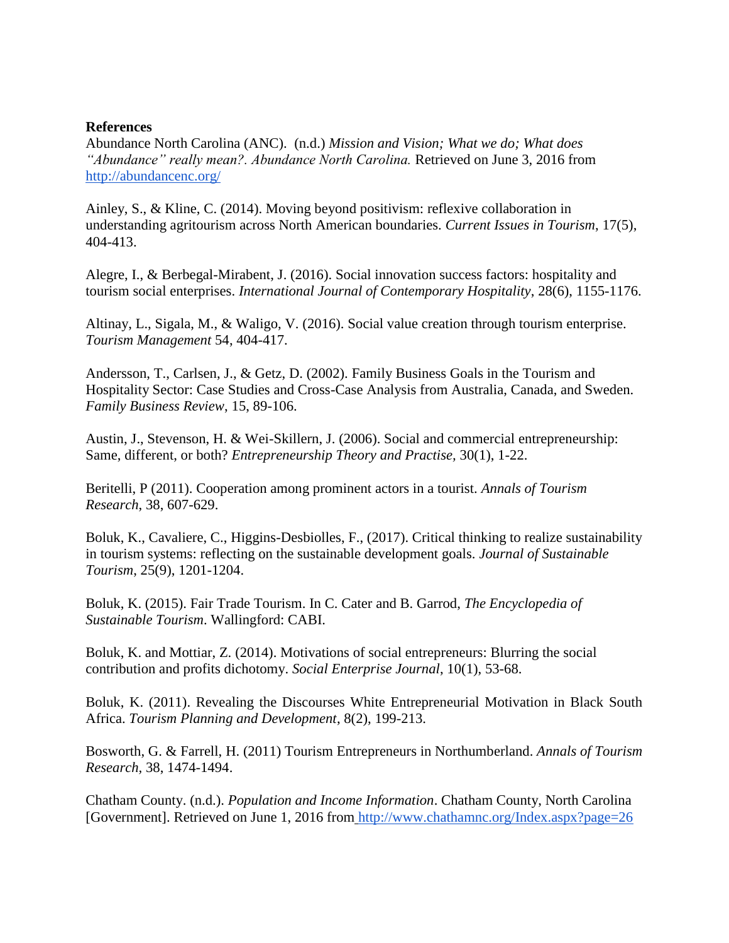## **References**

Abundance North Carolina (ANC). (n.d.) *Mission and Vision; What we do; What does "Abundance" really mean?. Abundance North Carolina.* Retrieved on June 3, 2016 fro[m](http://abundancenc.org/about/our-philosophy/what-does-abundance-really-mean/) [http://abundancenc.org/](http://abundancenc.org/about/our-philosophy/what-does-abundance-really-mean/)

Ainley, S., & Kline, C. (2014). Moving beyond positivism: reflexive collaboration in understanding agritourism across North American boundaries. *Current Issues in Tourism*, 17(5), 404-413.

Alegre, I., & Berbegal-Mirabent, J. (2016). Social innovation success factors: hospitality and tourism social enterprises. *International Journal of Contemporary Hospitality*, 28(6), 1155-1176.

Altinay, L., Sigala, M., & Waligo, V. (2016). Social value creation through tourism enterprise. *Tourism Management* 54, 404-417.

Andersson, T., Carlsen, J., & Getz, D. (2002). Family Business Goals in the Tourism and Hospitality Sector: Case Studies and Cross-Case Analysis from Australia, Canada, and Sweden. *Family Business Review*, 15, 89-106.

Austin, J., Stevenson, H. & Wei-Skillern, J. (2006). Social and commercial entrepreneurship: Same, different, or both? *Entrepreneurship Theory and Practise,* 30(1), 1-22.

Beritelli, P (2011). Cooperation among prominent actors in a tourist. *Annals of Tourism Research*, 38, 607-629.

Boluk, K., Cavaliere, C., Higgins-Desbiolles, F., (2017). Critical thinking to realize sustainability in tourism systems: reflecting on the sustainable development goals. *Journal of Sustainable Tourism*, 25(9), 1201-1204.

Boluk, K. (2015). Fair Trade Tourism. In C. Cater and B. Garrod, *The Encyclopedia of Sustainable Tourism*. Wallingford: CABI.

Boluk, K. and Mottiar, Z. (2014). Motivations of social entrepreneurs: Blurring the social contribution and profits dichotomy. *Social Enterprise Journal*, 10(1), 53-68.

Boluk, K. (2011). Revealing the Discourses White Entrepreneurial Motivation in Black South Africa. *Tourism Planning and Development*, 8(2), 199-213.

Bosworth, G. & Farrell, H. (2011) Tourism Entrepreneurs in Northumberland. *Annals of Tourism Research,* 38, 1474-1494.

Chatham County. (n.d.). *Population and Income Information*. Chatham County, North Carolina [Government]. Retrieved on June 1, 2016 from <http://www.chathamnc.org/Index.aspx?page=26>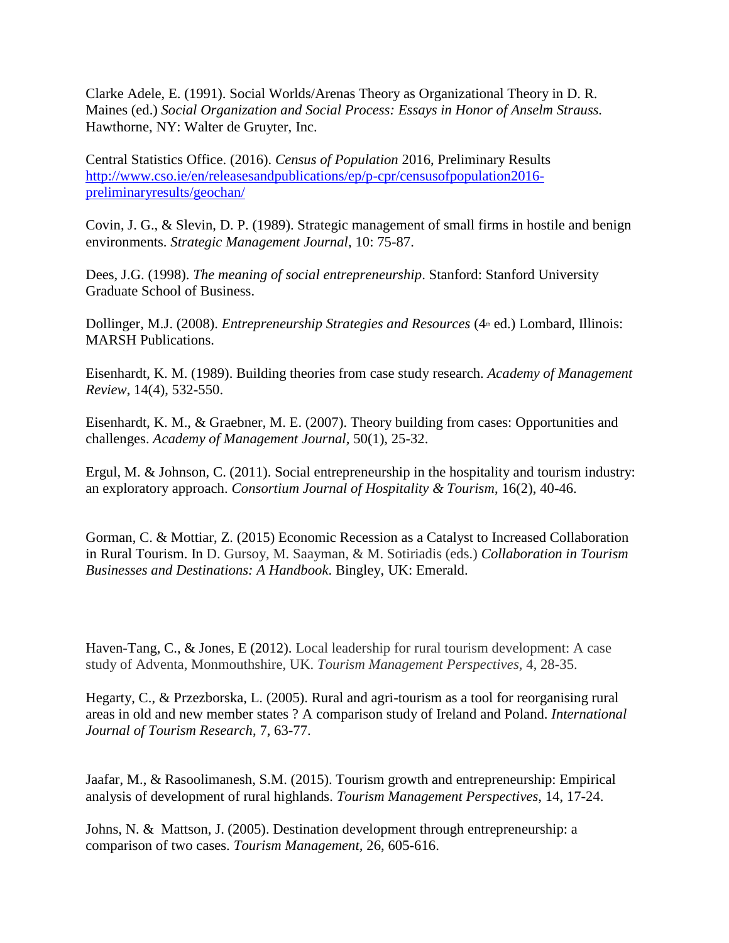Clarke Adele, E. (1991). Social Worlds/Arenas Theory as Organizational Theory in D. R. Maines (ed.) *Social Organization and Social Process: Essays in Honor of Anselm Strauss.*  Hawthorne, NY: Walter de Gruyter, Inc.

Central Statistics Office. (2016). *Census of Population* 2016, Preliminary Results [http://www.cso.ie/en/releasesandpublications/ep/p-cpr/censusofpopulation2016](http://www.cso.ie/en/releasesandpublications/ep/p-cpr/censusofpopulation2016-preliminaryresults/geochan/) [preliminaryresults/geochan/](http://www.cso.ie/en/releasesandpublications/ep/p-cpr/censusofpopulation2016-preliminaryresults/geochan/)

Covin, J. G., & Slevin, D. P. (1989). Strategic management of small firms in hostile and benign environments. *Strategic Management Journal*, 10: 75-87.

Dees, J.G. (1998). *The meaning of social entrepreneurship*. Stanford: Stanford University Graduate School of Business.

Dollinger, M.J. (2008). *Entrepreneurship Strategies and Resources* (4<sup>th</sup> ed.) Lombard, Illinois: MARSH Publications.

Eisenhardt, K. M. (1989). Building theories from case study research. *Academy of Management Review*, 14(4), 532-550.

Eisenhardt, K. M., & Graebner, M. E. (2007). Theory building from cases: Opportunities and challenges. *Academy of Management Journal,* 50(1), 25-32.

Ergul, M. & Johnson, C. (2011). Social entrepreneurship in the hospitality and tourism industry: an exploratory approach. *Consortium Journal of Hospitality & Tourism*, 16(2), 40-46.

Gorman, C. & Mottiar, Z. (2015) Economic Recession as a Catalyst to Increased Collaboration in Rural Tourism. In D. Gursoy, M. Saayman, & M. Sotiriadis (eds.) *Collaboration in Tourism Businesses and Destinations: A Handbook*. Bingley, UK: Emerald.

Haven-Tang, C., & Jones, E (2012). Local leadership for rural tourism development: A case study of Adventa, Monmouthshire, UK. *Tourism Management Perspectives,* 4, 28-35.

Hegarty, C., & Przezborska, L. (2005). Rural and agri-tourism as a tool for reorganising rural areas in old and new member states ? A comparison study of Ireland and Poland. *International Journal of Tourism Research*, 7, 63-77.

Jaafar, M., & Rasoolimanesh, S.M. (2015). Tourism growth and entrepreneurship: Empirical analysis of development of rural highlands. *Tourism Management Perspectives*, 14, 17-24.

Johns, N. & Mattson, J. (2005). Destination development through entrepreneurship: a comparison of two cases. *Tourism Management,* 26, 605-616.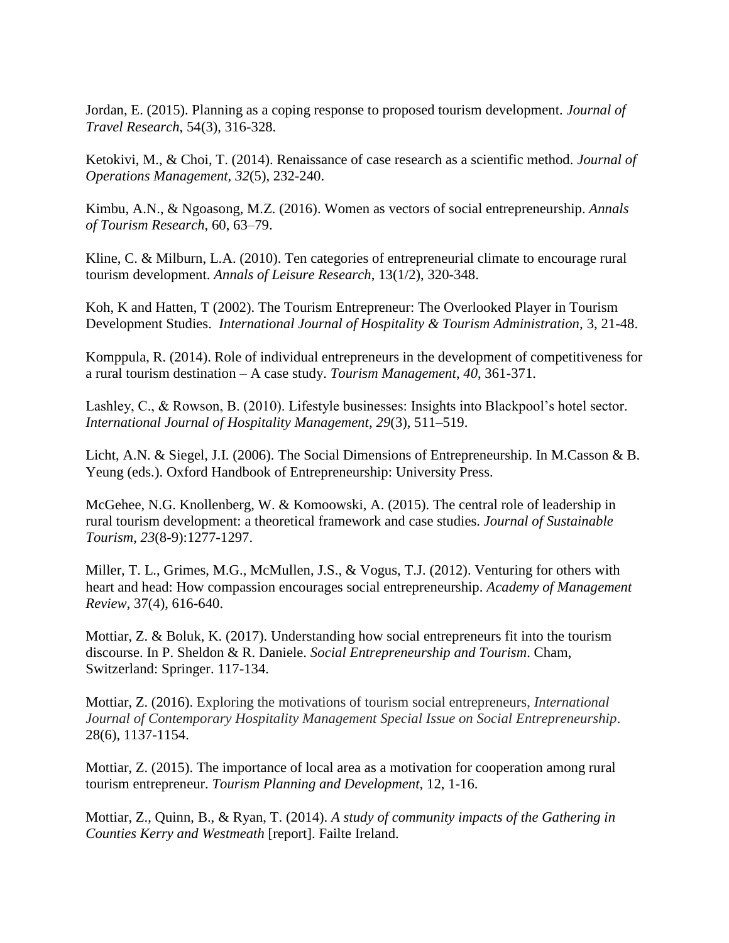Jordan, E. (2015). Planning as a coping response to proposed tourism development. *Journal of Travel Research*, 54(3), 316-328.

Ketokivi, M., & Choi, T. (2014). Renaissance of case research as a scientific method. *Journal of Operations Management, 32*(5), 232-240.

Kimbu, A.N., & Ngoasong, M.Z. (2016). Women as vectors of social entrepreneurship. *Annals of Tourism Research*, 60, 63–79.

Kline, C. & Milburn, L.A. (2010). Ten categories of entrepreneurial climate to encourage rural tourism development. *Annals of Leisure Research*, 13(1/2), 320-348.

Koh, K and Hatten, T (2002). The Tourism Entrepreneur: The Overlooked Player in Tourism Development Studies. *International Journal of Hospitality & Tourism Administration,* 3, 21-48.

Komppula, R. (2014). Role of individual entrepreneurs in the development of competitiveness for a rural tourism destination – A case study. *Tourism Management*, *40*, 361-371.

Lashley, C., & Rowson, B. (2010). Lifestyle businesses: Insights into Blackpool's hotel sector. *International Journal of Hospitality Management*, *29*(3), 511–519.

Licht, A.N. & Siegel, J.I. (2006). The Social Dimensions of Entrepreneurship. In M.Casson & B. Yeung (eds.). Oxford Handbook of Entrepreneurship: University Press.

McGehee, N.G. Knollenberg, W. & Komoowski, A. (2015). The central role of leadership in rural tourism development: a theoretical framework and case studies. *Journal of Sustainable Tourism, 23*(8-9):1277-1297.

Miller, T. L., Grimes, M.G., McMullen, J.S., & Vogus, T.J. (2012). Venturing for others with heart and head: How compassion encourages social entrepreneurship. *Academy of Management Review*, 37(4), 616-640.

Mottiar, Z. & Boluk, K. (2017). Understanding how social entrepreneurs fit into the tourism discourse. In P. Sheldon & R. Daniele. *Social Entrepreneurship and Tourism*. Cham, Switzerland: Springer. 117-134.

Mottiar, Z. (2016). Exploring the motivations of tourism social entrepreneurs, *International Journal of Contemporary Hospitality Management Special Issue on Social Entrepreneurship*. 28(6), 1137-1154.

Mottiar, Z. (2015). The importance of local area as a motivation for cooperation among rural tourism entrepreneur. *Tourism Planning and Development,* 12, 1-16.

Mottiar, Z., Quinn, B., & Ryan, T. (2014). *A study of community impacts of the Gathering in Counties Kerry and Westmeath* [report]. Failte Ireland.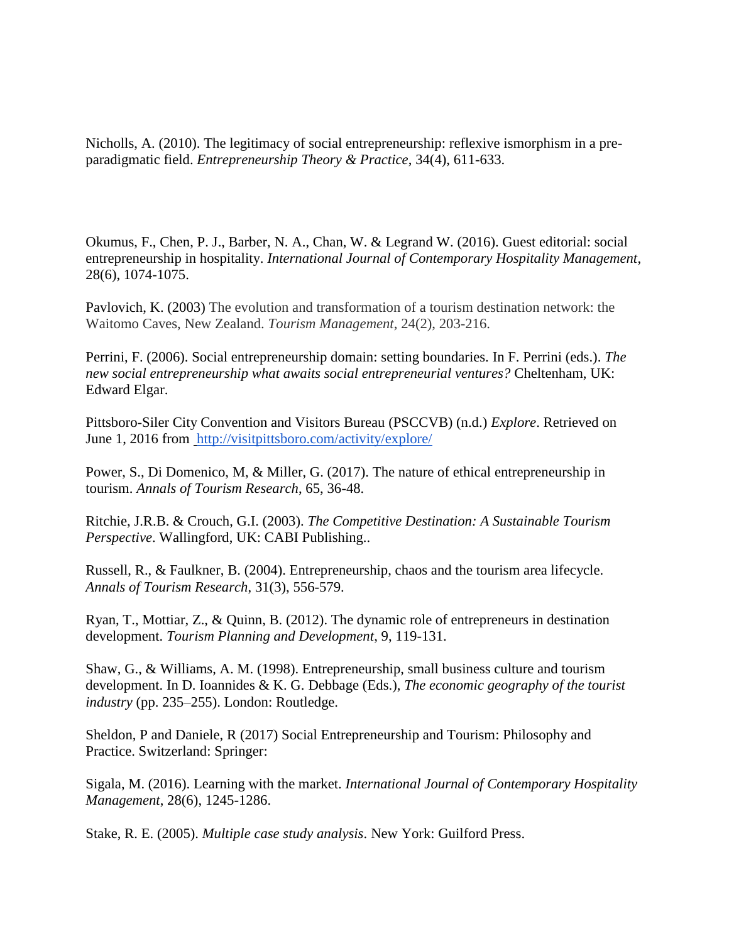Nicholls, A. (2010). The legitimacy of social entrepreneurship: reflexive ismorphism in a preparadigmatic field. *Entrepreneurship Theory & Practice*, 34(4), 611-633.

Okumus, F., Chen, P. J., Barber, N. A., Chan, W. & Legrand W. (2016). Guest editorial: social entrepreneurship in hospitality. *International Journal of Contemporary Hospitality Management*, 28(6), 1074-1075.

Pavlovich, K. (2003) The evolution and transformation of a tourism destination network: the Waitomo Caves, New Zealand. *Tourism Management*, 24(2), 203-216.

Perrini, F. (2006). Social entrepreneurship domain: setting boundaries. In F. Perrini (eds.). *The new social entrepreneurship what awaits social entrepreneurial ventures?* Cheltenham, UK: Edward Elgar.

Pittsboro-Siler City Convention and Visitors Bureau (PSCCVB) (n.d.) *Explore*. Retrieved on June 1, 2016 from<http://visitpittsboro.com/activity/explore/>

Power, S., Di Domenico, M, & Miller, G. (2017). The nature of ethical entrepreneurship in tourism. *Annals of Tourism Research*, 65, 36-48.

Ritchie, J.R.B. & Crouch, G.I. (2003). *The Competitive Destination: A Sustainable Tourism Perspective*. Wallingford, UK: CABI Publishing..

Russell, R., & Faulkner, B. (2004). Entrepreneurship, chaos and the tourism area lifecycle. *Annals of Tourism Research*, 31(3), 556-579.

Ryan, T., Mottiar, Z., & Quinn, B. (2012). The dynamic role of entrepreneurs in destination development. *Tourism Planning and Development*, 9, 119-131.

Shaw, G., & Williams, A. M. (1998). Entrepreneurship, small business culture and tourism development. In D. Ioannides & K. G. Debbage (Eds.), *The economic geography of the tourist industry* (pp. 235–255). London: Routledge.

Sheldon, P and Daniele, R (2017) Social Entrepreneurship and Tourism: Philosophy and Practice. Switzerland: Springer:

Sigala, M. (2016). Learning with the market. *International Journal of Contemporary Hospitality Management*, 28(6), 1245-1286.

Stake, R. E. (2005). *Multiple case study analysis*. New York: Guilford Press.